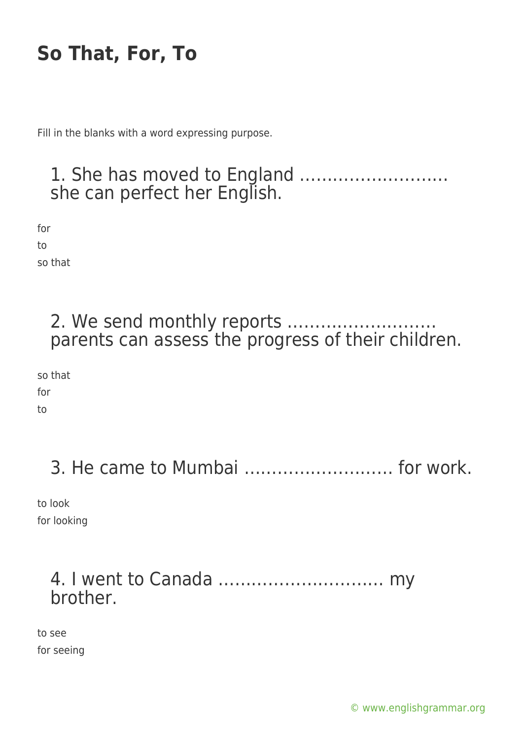Fill in the blanks with a word expressing purpose.

## 1. She has moved to England ……………………… she can perfect her English.

for

to

so that

### 2. We send monthly reports ……………………… parents can assess the progress of their children.

so that for to

3. He came to Mumbai ……………………… for work.

to look for looking

### 4. I went to Canada ………………………… my brother.

to see for seeing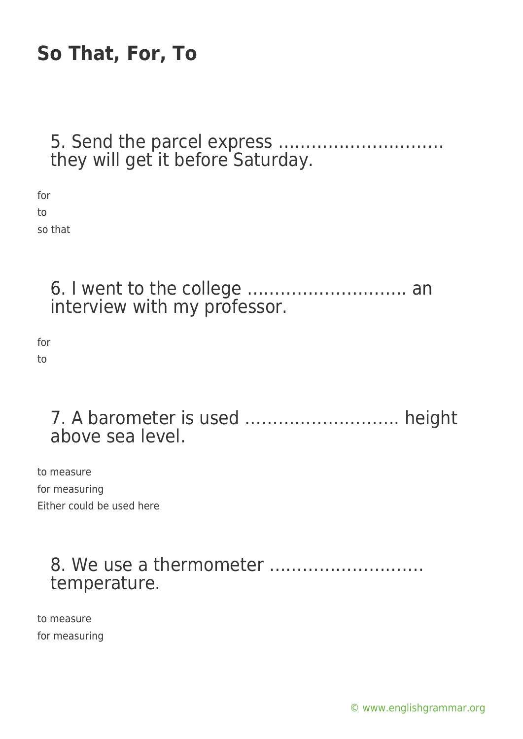#### 5. Send the parcel express ………………………… they will get it before Saturday.

for to so that

> 6. I went to the college ……………………….. an interview with my professor.

for to

### 7. A barometer is used ………………………. height above sea level.

to measure for measuring Either could be used here

## 8. We use a thermometer ………………………. temperature.

to measure for measuring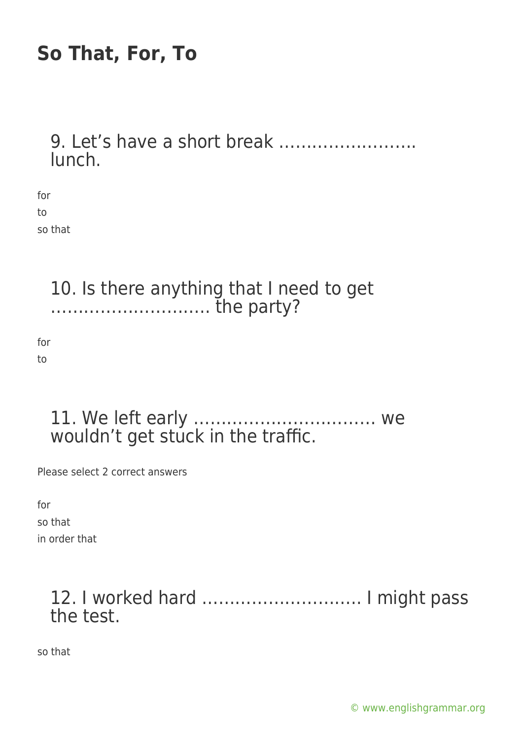### 9. Let's have a short break ……………………. lunch.

for to so that

> 10. Is there anything that I need to get ……………………….. the party?

for to

### 11. We left early …………………………… we wouldn't get stuck in the traffic.

Please select 2 correct answers

for so that in order that

# 12. I worked hard ……………………….. I might pass the test.

so that